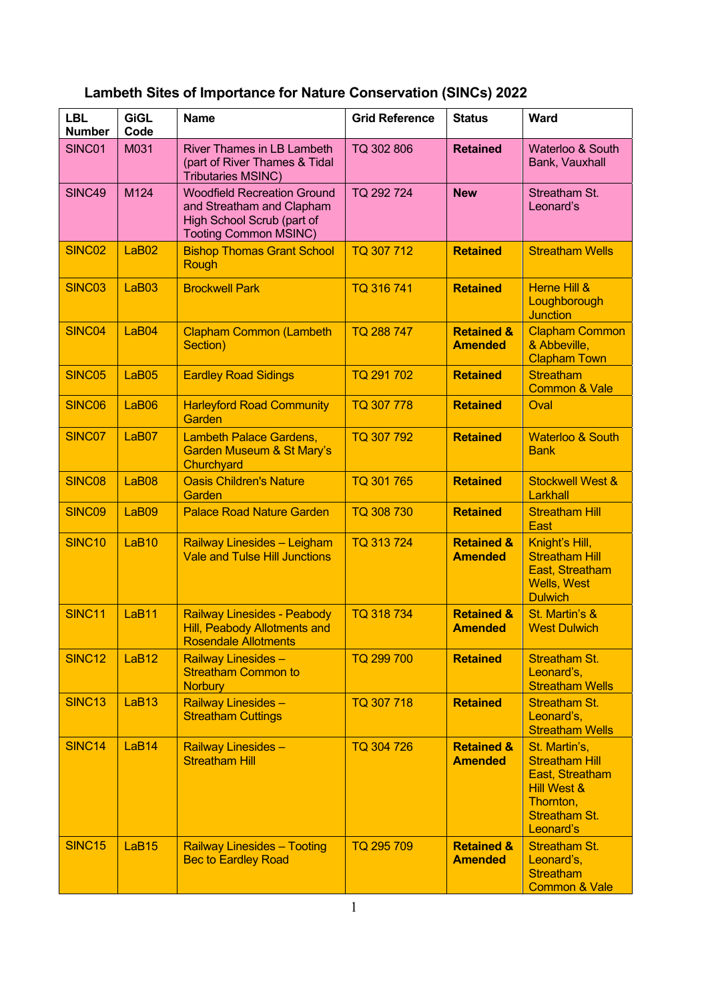| <b>LBL</b><br><b>Number</b> | <b>GiGL</b><br>Code | <b>Name</b>                                                                                                                   | <b>Grid Reference</b> | <b>Status</b>                           | Ward                                                                                                                                  |
|-----------------------------|---------------------|-------------------------------------------------------------------------------------------------------------------------------|-----------------------|-----------------------------------------|---------------------------------------------------------------------------------------------------------------------------------------|
| SINC01                      | M031                | River Thames in LB Lambeth<br>(part of River Thames & Tidal<br><b>Tributaries MSINC)</b>                                      | TQ 302 806            | <b>Retained</b>                         | Waterloo & South<br>Bank, Vauxhall                                                                                                    |
| SINC49                      | M124                | <b>Woodfield Recreation Ground</b><br>and Streatham and Clapham<br>High School Scrub (part of<br><b>Tooting Common MSINC)</b> | TQ 292 724            | <b>New</b>                              | Streatham St.<br>Leonard's                                                                                                            |
| SINC <sub>02</sub>          | LaB <sub>02</sub>   | <b>Bishop Thomas Grant School</b><br>Rough                                                                                    | TQ 307 712            | <b>Retained</b>                         | <b>Streatham Wells</b>                                                                                                                |
| SINC03                      | LaB03               | <b>Brockwell Park</b>                                                                                                         | TQ 316 741            | <b>Retained</b>                         | <b>Herne Hill &amp;</b><br>Loughborough<br><b>Junction</b>                                                                            |
| SINC04                      | LaB04               | <b>Clapham Common (Lambeth</b><br>Section)                                                                                    | TQ 288 747            | <b>Retained &amp;</b><br><b>Amended</b> | <b>Clapham Common</b><br>& Abbeville,<br><b>Clapham Town</b>                                                                          |
| SINC05                      | LaB05               | <b>Eardley Road Sidings</b>                                                                                                   | TQ 291 702            | <b>Retained</b>                         | <b>Streatham</b><br><b>Common &amp; Vale</b>                                                                                          |
| SINC06                      | LaB06               | <b>Harleyford Road Community</b><br>Garden                                                                                    | TQ 307 778            | <b>Retained</b>                         | Oval                                                                                                                                  |
| SINC07                      | LaB07               | <b>Lambeth Palace Gardens,</b><br>Garden Museum & St Mary's<br>Churchyard                                                     | TQ 307 792            | <b>Retained</b>                         | <b>Waterloo &amp; South</b><br><b>Bank</b>                                                                                            |
| SINC08                      | LaB08               | <b>Oasis Children's Nature</b><br>Garden                                                                                      | TQ 301 765            | <b>Retained</b>                         | <b>Stockwell West &amp;</b><br>Larkhall                                                                                               |
| SINC09                      | LaB09               | <b>Palace Road Nature Garden</b>                                                                                              | TQ 308 730            | <b>Retained</b>                         | <b>Streatham Hill</b><br>East                                                                                                         |
| <b>SINC10</b>               | LaB <sub>10</sub>   | Railway Linesides - Leigham<br><b>Vale and Tulse Hill Junctions</b>                                                           | TQ 313 724            | <b>Retained &amp;</b><br><b>Amended</b> | Knight's Hill,<br><b>Streatham Hill</b><br>East, Streatham<br><b>Wells, West</b><br><b>Dulwich</b>                                    |
| SINC <sub>11</sub>          | LaB11               | <b>Railway Linesides - Peabody</b><br><b>Hill, Peabody Allotments and</b><br><b>Rosendale Allotments</b>                      | TQ 318 734            | <b>Retained &amp;</b><br><b>Amended</b> | St. Martin's &<br><b>West Dulwich</b>                                                                                                 |
| <b>SINC12</b>               | LaB <sub>12</sub>   | <b>Railway Linesides -</b><br><b>Streatham Common to</b><br><b>Norbury</b>                                                    | TQ 299 700            | <b>Retained</b>                         | <b>Streatham St.</b><br>Leonard's,<br><b>Streatham Wells</b>                                                                          |
| <b>SINC13</b>               | LaB <sub>13</sub>   | Railway Linesides -<br><b>Streatham Cuttings</b>                                                                              | TQ 307 718            | <b>Retained</b>                         | <b>Streatham St.</b><br>Leonard's,<br><b>Streatham Wells</b>                                                                          |
| SINC <sub>14</sub>          | LaB <sub>14</sub>   | <b>Railway Linesides -</b><br><b>Streatham Hill</b>                                                                           | TQ 304 726            | <b>Retained &amp;</b><br><b>Amended</b> | St. Martin's,<br><b>Streatham Hill</b><br>East, Streatham<br><b>Hill West &amp;</b><br>Thornton,<br><b>Streatham St.</b><br>Leonard's |
| <b>SINC15</b>               | LaB <sub>15</sub>   | <b>Railway Linesides - Tooting</b><br><b>Bec to Eardley Road</b>                                                              | TQ 295 709            | <b>Retained &amp;</b><br><b>Amended</b> | <b>Streatham St.</b><br>Leonard's,<br><b>Streatham</b><br><b>Common &amp; Vale</b>                                                    |

## **Lambeth Sites of Importance for Nature Conservation (SINCs) 2022**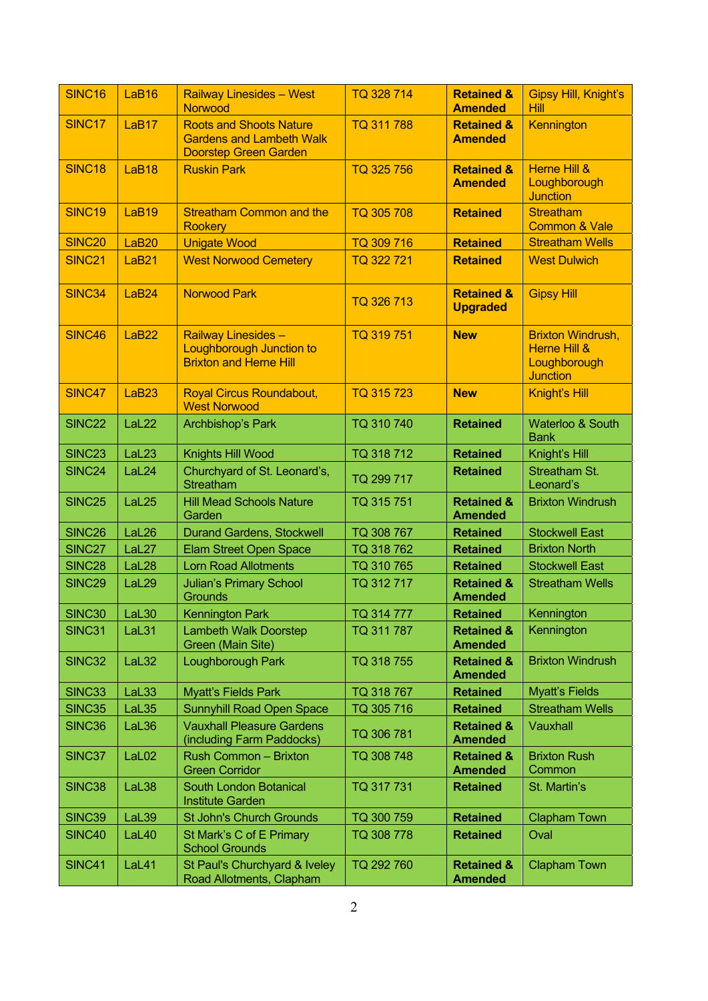| SINC <sub>16</sub> | LaB <sub>16</sub> | <b>Railway Linesides - West</b><br>Norwood                                                        | TQ 328 714 | <b>Retained &amp;</b><br><b>Amended</b>  | Gipsy Hill, Knight's<br><b>Hill</b>                                                    |
|--------------------|-------------------|---------------------------------------------------------------------------------------------------|------------|------------------------------------------|----------------------------------------------------------------------------------------|
| <b>SINC17</b>      | LaB17             | <b>Roots and Shoots Nature</b><br><b>Gardens and Lambeth Walk</b><br><b>Doorstep Green Garden</b> | TQ 311 788 | <b>Retained &amp;</b><br><b>Amended</b>  | Kennington                                                                             |
| <b>SINC18</b>      | LaB <sub>18</sub> | <b>Ruskin Park</b>                                                                                | TQ 325 756 | <b>Retained &amp;</b><br><b>Amended</b>  | <b>Herne Hill &amp;</b><br>Loughborough<br><b>Junction</b>                             |
| <b>SINC19</b>      | LaB <sub>19</sub> | <b>Streatham Common and the</b><br><b>Rookery</b>                                                 | TQ 305 708 | <b>Retained</b>                          | <b>Streatham</b><br><b>Common &amp; Vale</b>                                           |
| <b>SINC20</b>      | LaB <sub>20</sub> | <b>Unigate Wood</b>                                                                               | TQ 309 716 | <b>Retained</b>                          | <b>Streatham Wells</b>                                                                 |
| <b>SINC21</b>      | LaB <sub>21</sub> | <b>West Norwood Cemetery</b>                                                                      | TQ 322 721 | <b>Retained</b>                          | <b>West Dulwich</b>                                                                    |
| <b>SINC34</b>      | LaB <sub>24</sub> | <b>Norwood Park</b>                                                                               | TQ 326 713 | <b>Retained &amp;</b><br><b>Upgraded</b> | <b>Gipsy Hill</b>                                                                      |
| <b>SINC46</b>      | LaB <sub>22</sub> | Railway Linesides-<br><b>Loughborough Junction to</b><br><b>Brixton and Herne Hill</b>            | TQ 319 751 | <b>New</b>                               | <b>Brixton Windrush,</b><br><b>Herne Hill &amp;</b><br>Loughborough<br><b>Junction</b> |
| SINC47             | LaB <sub>23</sub> | <b>Royal Circus Roundabout,</b><br><b>West Norwood</b>                                            | TQ 315 723 | <b>New</b>                               | Knight's Hill                                                                          |
| <b>SINC22</b>      | LaL <sub>22</sub> | Archbishop's Park                                                                                 | TQ 310 740 | <b>Retained</b>                          | <b>Waterloo &amp; South</b><br><b>Bank</b>                                             |
| <b>SINC23</b>      | LaL <sub>23</sub> | Knights Hill Wood                                                                                 | TQ 318 712 | <b>Retained</b>                          | Knight's Hill                                                                          |
| SINC24             | LaL24             | Churchyard of St. Leonard's,<br>Streatham                                                         | TQ 299 717 | <b>Retained</b>                          | Streatham St.<br>Leonard's                                                             |
| <b>SINC25</b>      | LaL <sub>25</sub> | <b>Hill Mead Schools Nature</b><br>Garden                                                         | TQ 315 751 | <b>Retained &amp;</b><br><b>Amended</b>  | <b>Brixton Windrush</b>                                                                |
| SINC <sub>26</sub> | LaL <sub>26</sub> | <b>Durand Gardens, Stockwell</b>                                                                  | TQ 308 767 | <b>Retained</b>                          | <b>Stockwell East</b>                                                                  |
| SINC27             | LaL <sub>27</sub> | <b>Elam Street Open Space</b>                                                                     | TQ 318 762 | <b>Retained</b>                          | <b>Brixton North</b>                                                                   |
| <b>SINC28</b>      | LaL <sub>28</sub> | <b>Lorn Road Allotments</b>                                                                       | TQ 310 765 | <b>Retained</b>                          | <b>Stockwell East</b>                                                                  |
| <b>SINC29</b>      | LaL29             | <b>Julian's Primary School</b><br><b>Grounds</b>                                                  | TQ 312 717 | <b>Retained &amp;</b><br><b>Amended</b>  | <b>Streatham Wells</b>                                                                 |
| SINC <sub>30</sub> | LaL <sub>30</sub> | <b>Kennington Park</b>                                                                            | TQ 314 777 | <b>Retained</b>                          | Kennington                                                                             |
| SINC31             | LaL31             | <b>Lambeth Walk Doorstep</b><br>Green (Main Site)                                                 | TQ 311 787 | <b>Retained &amp;</b><br><b>Amended</b>  | Kennington                                                                             |
| <b>SINC32</b>      | LaL32             | <b>Loughborough Park</b>                                                                          | TQ 318 755 | <b>Retained &amp;</b><br><b>Amended</b>  | <b>Brixton Windrush</b>                                                                |
| SINC33             | LaL33             | <b>Myatt's Fields Park</b>                                                                        | TQ 318 767 | <b>Retained</b>                          | <b>Myatt's Fields</b>                                                                  |
| <b>SINC35</b>      | LaL35             | <b>Sunnyhill Road Open Space</b>                                                                  | TQ 305 716 | <b>Retained</b>                          | <b>Streatham Wells</b>                                                                 |
| SINC36             | LaL36             | <b>Vauxhall Pleasure Gardens</b><br>(including Farm Paddocks)                                     | TQ 306 781 | <b>Retained &amp;</b><br><b>Amended</b>  | Vauxhall                                                                               |
| SINC37             | LaL <sub>02</sub> | <b>Rush Common - Brixton</b><br><b>Green Corridor</b>                                             | TQ 308 748 | <b>Retained &amp;</b><br><b>Amended</b>  | <b>Brixton Rush</b><br>Common                                                          |
| <b>SINC38</b>      | LaL38             | <b>South London Botanical</b><br><b>Institute Garden</b>                                          | TQ 317 731 | <b>Retained</b>                          | St. Martin's                                                                           |
| <b>SINC39</b>      | LaL39             | <b>St John's Church Grounds</b>                                                                   | TQ 300 759 | <b>Retained</b>                          | <b>Clapham Town</b>                                                                    |
| SINC40             | LaL40             | St Mark's C of E Primary<br><b>School Grounds</b>                                                 | TQ 308 778 | <b>Retained</b>                          | Oval                                                                                   |
| <b>SINC41</b>      | LaL41             | St Paul's Churchyard & Iveley<br>Road Allotments, Clapham                                         | TQ 292 760 | <b>Retained &amp;</b><br><b>Amended</b>  | <b>Clapham Town</b>                                                                    |